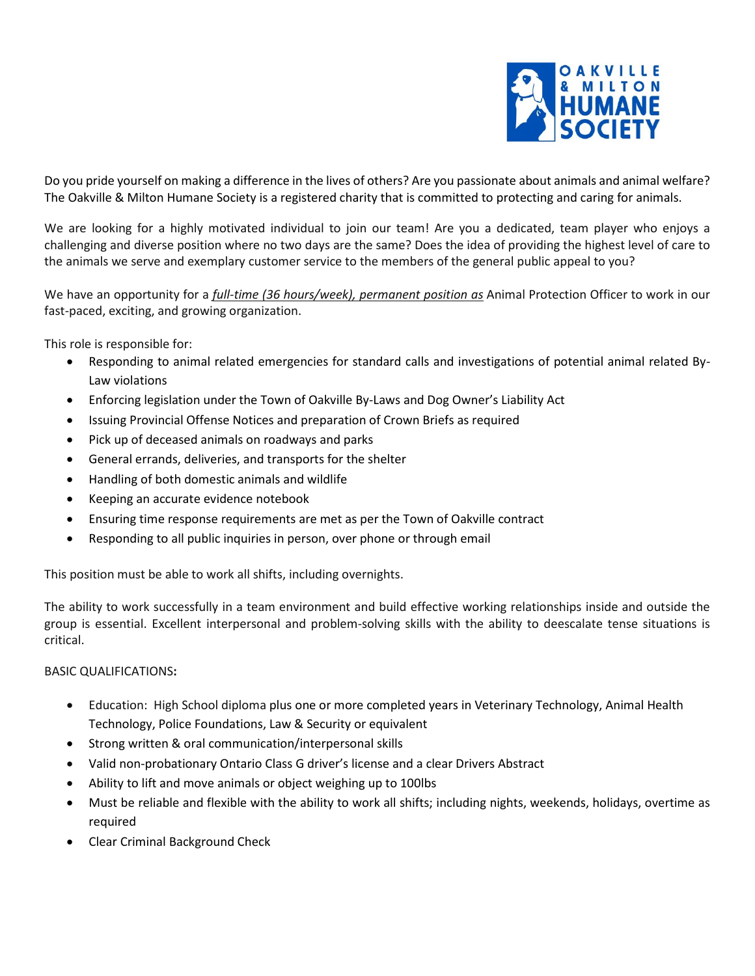

Do you pride yourself on making a difference in the lives of others? Are you passionate about animals and animal welfare? The Oakville & Milton Humane Society is a registered charity that is committed to protecting and caring for animals.

We are looking for a highly motivated individual to join our team! Are you a dedicated, team player who enjoys a challenging and diverse position where no two days are the same? Does the idea of providing the highest level of care to the animals we serve and exemplary customer service to the members of the general public appeal to you?

We have an opportunity for a *full-time (36 hours/week), permanent position as* Animal Protection Officer to work in our fast-paced, exciting, and growing organization.

This role is responsible for:

- Responding to animal related emergencies for standard calls and investigations of potential animal related By-Law violations
- Enforcing legislation under the Town of Oakville By-Laws and Dog Owner's Liability Act
- Issuing Provincial Offense Notices and preparation of Crown Briefs as required
- Pick up of deceased animals on roadways and parks
- General errands, deliveries, and transports for the shelter
- Handling of both domestic animals and wildlife
- Keeping an accurate evidence notebook
- Ensuring time response requirements are met as per the Town of Oakville contract
- Responding to all public inquiries in person, over phone or through email

This position must be able to work all shifts, including overnights.

The ability to work successfully in a team environment and build effective working relationships inside and outside the group is essential. Excellent interpersonal and problem-solving skills with the ability to deescalate tense situations is critical.

## BASIC QUALIFICATIONS**:**

- Education: High School diploma plus one or more completed years in Veterinary Technology, Animal Health Technology, Police Foundations, Law & Security or equivalent
- Strong written & oral communication/interpersonal skills
- Valid non-probationary Ontario Class G driver's license and a clear Drivers Abstract
- Ability to lift and move animals or object weighing up to 100lbs
- Must be reliable and flexible with the ability to work all shifts; including nights, weekends, holidays, overtime as required
- Clear Criminal Background Check